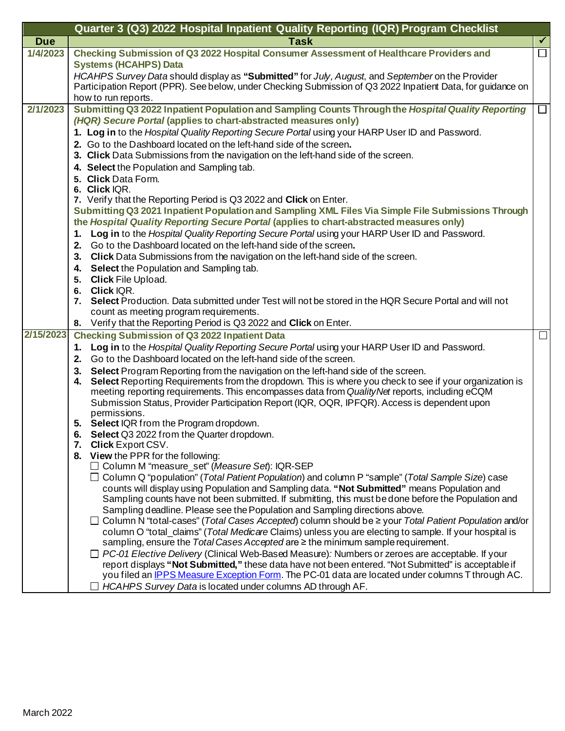|            | Quarter 3 (Q3) 2022 Hospital Inpatient Quality Reporting (IQR) Program Checklist                                                                                                                      |        |
|------------|-------------------------------------------------------------------------------------------------------------------------------------------------------------------------------------------------------|--------|
| <b>Due</b> | <b>Task</b>                                                                                                                                                                                           |        |
| 1/4/2023   | Checking Submission of Q3 2022 Hospital Consumer Assessment of Healthcare Providers and                                                                                                               |        |
|            | <b>Systems (HCAHPS) Data</b>                                                                                                                                                                          |        |
|            | HCAHPS Survey Data should display as "Submitted" for July, August, and September on the Provider                                                                                                      |        |
|            | Participation Report (PPR). See below, under Checking Submission of Q3 2022 Inpatient Data, for guidance on                                                                                           |        |
|            | how to run reports.                                                                                                                                                                                   |        |
| 2/1/2023   | Submitting Q3 2022 Inpatient Population and Sampling Counts Through the Hospital Quality Reporting                                                                                                    | $\Box$ |
|            | (HQR) Secure Portal (applies to chart-abstracted measures only)                                                                                                                                       |        |
|            | 1. Log in to the Hospital Quality Reporting Secure Portal using your HARP User ID and Password.                                                                                                       |        |
|            | 2. Go to the Dashboard located on the left-hand side of the screen.                                                                                                                                   |        |
|            | 3. Click Data Submissions from the navigation on the left-hand side of the screen.                                                                                                                    |        |
|            | 4. Select the Population and Sampling tab.<br>5. Click Data Form.                                                                                                                                     |        |
|            | 6. Click IQR.                                                                                                                                                                                         |        |
|            | 7. Verify that the Reporting Period is Q3 2022 and Click on Enter.                                                                                                                                    |        |
|            | Submitting Q3 2021 Inpatient Population and Sampling XML Files Via Simple File Submissions Through                                                                                                    |        |
|            | the Hospital Quality Reporting Secure Portal (applies to chart-abstracted measures only)                                                                                                              |        |
|            | 1. Log in to the Hospital Quality Reporting Secure Portal using your HARP User ID and Password.                                                                                                       |        |
|            | 2. Go to the Dashboard located on the left-hand side of the screen.                                                                                                                                   |        |
|            | 3. Click Data Submissions from the navigation on the left-hand side of the screen.                                                                                                                    |        |
|            | 4. Select the Population and Sampling tab.                                                                                                                                                            |        |
|            | 5. Click File Upload.                                                                                                                                                                                 |        |
|            | Click IQR.<br>6.                                                                                                                                                                                      |        |
|            | 7. Select Production. Data submitted under Test will not be stored in the HQR Secure Portal and will not                                                                                              |        |
|            | count as meeting program requirements.                                                                                                                                                                |        |
|            | 8. Verify that the Reporting Period is Q3 2022 and Click on Enter.                                                                                                                                    |        |
| 2/15/2023  | <b>Checking Submission of Q3 2022 Inpatient Data</b>                                                                                                                                                  |        |
|            | Log in to the Hospital Quality Reporting Secure Portal using your HARP User ID and Password.<br>1.                                                                                                    |        |
|            | 2. Go to the Dashboard located on the left-hand side of the screen.                                                                                                                                   |        |
|            | 3. Select Program Reporting from the navigation on the left-hand side of the screen.<br>Select Reporting Requirements from the dropdown. This is where you check to see if your organization is<br>4. |        |
|            | meeting reporting requirements. This encompasses data from Quality Net reports, including eCQM                                                                                                        |        |
|            | Submission Status, Provider Participation Report (IQR, OQR, IPFQR). Access is dependent upon                                                                                                          |        |
|            | permissions.                                                                                                                                                                                          |        |
|            | 5. Select IQR from the Program dropdown.                                                                                                                                                              |        |
|            | Select Q3 2022 from the Quarter dropdown.<br>6.                                                                                                                                                       |        |
|            | 7. Click Export CSV.                                                                                                                                                                                  |        |
|            | 8. View the PPR for the following:<br>□ Column M "measure_set" (Measure Set): IQR-SEP                                                                                                                 |        |
|            | $\Box$ Column Q "population" (Total Patient Population) and column P "sample" (Total Sample Size) case                                                                                                |        |
|            | counts will display using Population and Sampling data. "Not Submitted" means Population and                                                                                                          |        |
|            | Sampling counts have not been submitted. If submitting, this must be done before the Population and                                                                                                   |        |
|            | Sampling deadline. Please see the Population and Sampling directions above.                                                                                                                           |        |
|            | $\Box$ Column N "total-cases" (Total Cases Accepted) column should be $\geq$ your Total Patient Population and/or                                                                                     |        |
|            | column O "total_claims" (Total Medicare Claims) unless you are electing to sample. If your hospital is                                                                                                |        |
|            | sampling, ensure the Total Cases Accepted are ≥ the minimum sample requirement.                                                                                                                       |        |
|            | $\Box$ PC-01 Elective Delivery (Clinical Web-Based Measure): Numbers or zeroes are acceptable. If your                                                                                                |        |
|            | report displays "Not Submitted," these data have not been entered. "Not Submitted" is acceptable if                                                                                                   |        |
|            | you filed an IPPS Measure Exception Form. The PC-01 data are located under columns T through AC.                                                                                                      |        |
|            | $\Box$ HCAHPS Survey Data is located under columns AD through AF.                                                                                                                                     |        |